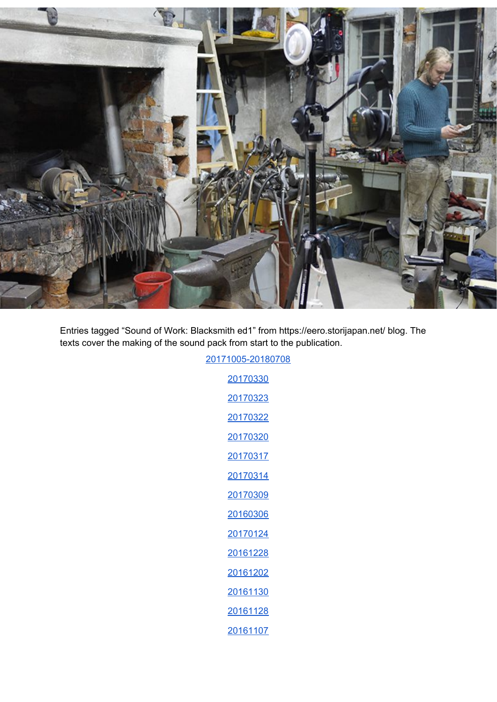

Entries tagged "Sound of Work: Blacksmith ed1" from https://eero.storijapan.net/ blog. The texts cover the making of the sound pack from start to the publication.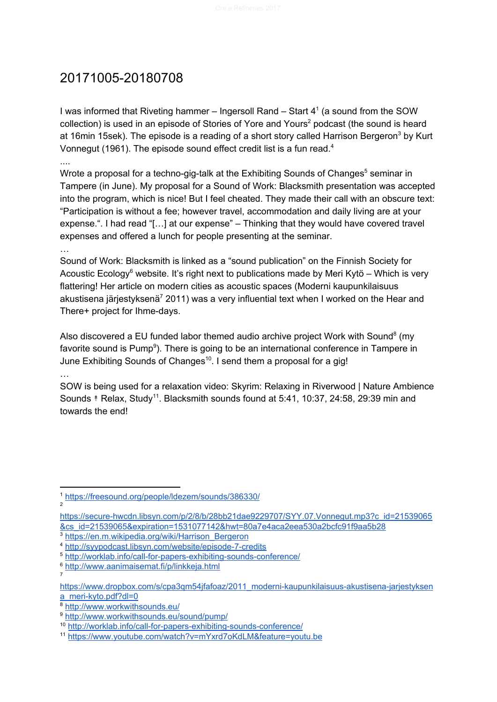# <span id="page-1-0"></span>20171005-20180708

I was informed that Riveting hammer – Ingersoll Rand – Start 4<sup>1</sup> (a sound from the SOW collection) is used in an episode of Stories of Yore and Yours<sup>2</sup> podcast (the sound is heard at 16min 15sek). The episode is a reading of a short story called Harrison Bergeron<sup>3</sup> by Kurt Vonnegut (1961). The episode sound effect credit list is a fun read. $4$ ....

Wrote a proposal for a techno-gig-talk at the Exhibiting Sounds of Changes<sup>5</sup> seminar in Tampere (in June). My proposal for a Sound of Work: Blacksmith presentation was accepted into the program, which is nice! But I feel cheated. They made their call with an obscure text: "Participation is without a fee; however travel, accommodation and daily living are at your expense.". I had read "[…] at our expense" – Thinking that they would have covered travel expenses and offered a lunch for people presenting at the seminar.

…

Sound of Work: Blacksmith is linked as a "sound publication" on the Finnish Society for Acoustic Ecology<sup>6</sup> website. It's right next to publications made by Meri Kytö – Which is very flattering! Her article on modern cities as acoustic spaces (Moderni kaupunkilaisuus akustisena järjestyksenä<sup>7</sup> 2011) was a very influential text when I worked on the Hear and There+ project for Ihme-days.

Also discovered a EU funded labor themed audio archive project Work with Sound<sup>8</sup> (my favorite sound is Pump<sup>9</sup>). There is going to be an international conference in Tampere in June Exhibiting Sounds of Changes<sup>10</sup>. I send them a proposal for a gig!

…

SOW is being used for a relaxation video: Skyrim: Relaxing in Riverwood | Nature Ambience Sounds  $*$  Relax, Study<sup>11</sup>. Blacksmith sounds found at 5:41, 10:37, 24:58, 29:39 min and towards the end!

2

7

<sup>3</sup> [https://en.m.wikipedia.org/wiki/Harrison\\_Bergeron](https://en.m.wikipedia.org/wiki/Harrison_Bergeron)

<https://freesound.org/people/ldezem/sounds/386330/>

[https://secure-hwcdn.libsyn.com/p/2/8/b/28bb21dae9229707/SYY.07.Vonnegut.mp3?c\\_id=21539065](https://secure-hwcdn.libsyn.com/p/2/8/b/28bb21dae9229707/SYY.07.Vonnegut.mp3?c_id=21539065&cs_id=21539065&expiration=1531077142&hwt=80a7e4aca2eea530a2bcfc91f9aa5b28) [&cs\\_id=21539065&expiration=1531077142&hwt=80a7e4aca2eea530a2bcfc91f9aa5b28](https://secure-hwcdn.libsyn.com/p/2/8/b/28bb21dae9229707/SYY.07.Vonnegut.mp3?c_id=21539065&cs_id=21539065&expiration=1531077142&hwt=80a7e4aca2eea530a2bcfc91f9aa5b28)

<sup>4</sup> <http://syypodcast.libsyn.com/website/episode-7-credits>

<sup>5</sup> <http://worklab.info/call-for-papers-exhibiting-sounds-conference/>

<sup>6</sup> <http://www.aanimaisemat.fi/p/linkkeja.html>

[https://www.dropbox.com/s/cpa3qm54jfafoaz/2011\\_moderni-kaupunkilaisuus-akustisena-jarjestyksen](https://www.dropbox.com/s/cpa3qm54jfafoaz/2011_moderni-kaupunkilaisuus-akustisena-jarjestyksena_meri-kyto.pdf?dl=0) [a\\_meri-kyto.pdf?dl=0](https://www.dropbox.com/s/cpa3qm54jfafoaz/2011_moderni-kaupunkilaisuus-akustisena-jarjestyksena_meri-kyto.pdf?dl=0)

<sup>8</sup> <http://www.workwithsounds.eu/>

<sup>9</sup> <http://www.workwithsounds.eu/sound/pump/>

<sup>10</sup> <http://worklab.info/call-for-papers-exhibiting-sounds-conference/>

<sup>11</sup> <https://www.youtube.com/watch?v=mYxrd7oKdLM&feature=youtu.be>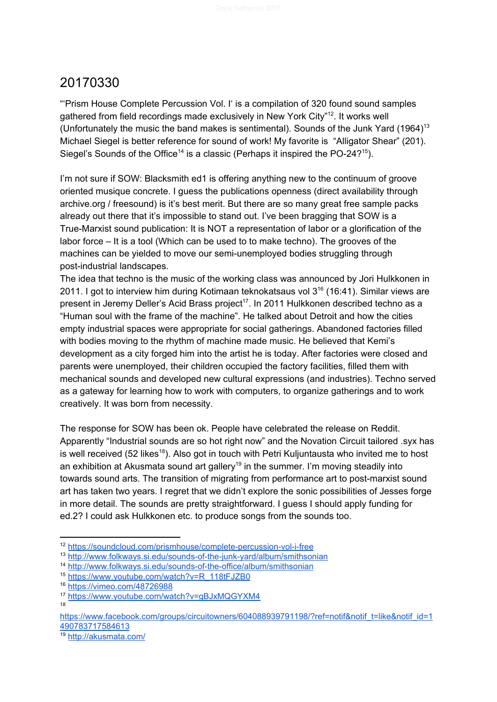<span id="page-2-0"></span>"'Prism House Complete Percussion Vol. I' is a compilation of 320 found sound samples gathered from field recordings made exclusively in New York City"<sup>12</sup>. It works well (Unfortunately the music the band makes is sentimental). Sounds of the Junk Yard  $(1964)^{13}$ Michael Siegel is better reference for sound of work! My favorite is "Alligator Shear" (201). Siegel's Sounds of the Office<sup>14</sup> is a classic (Perhaps it inspired the PO-24?<sup>15</sup>).

I'm not sure if SOW: Blacksmith ed1 is offering anything new to the continuum of groove oriented musique concrete. I guess the publications openness (direct availability through archive.org / freesound) is it's best merit. But there are so many great free sample packs already out there that it's impossible to stand out. I've been bragging that SOW is a True-Marxist sound publication: It is NOT a representation of labor or a glorification of the labor force – It is a tool (Which can be used to to make techno). The grooves of the machines can be yielded to move our semi-unemployed bodies struggling through post-industrial landscapes.

The idea that techno is the music of the working class was announced by Jori Hulkkonen in 2011. I got to interview him during Kotimaan teknokatsaus vol  $3^{16}$  (16:41). Similar views are present in Jeremy Deller's Acid Brass project<sup>17</sup>. In 2011 Hulkkonen described techno as a "Human soul with the frame of the machine". He talked about Detroit and how the cities empty industrial spaces were appropriate for social gatherings. Abandoned factories filled with bodies moving to the rhythm of machine made music. He believed that Kemi's development as a city forged him into the artist he is today. After factories were closed and parents were unemployed, their children occupied the factory facilities, filled them with mechanical sounds and developed new cultural expressions (and industries). Techno served as a gateway for learning how to work with computers, to organize gatherings and to work creatively. It was born from necessity.

The response for SOW has been ok. People have celebrated the release on Reddit. Apparently "Industrial sounds are so hot right now" and the Novation Circuit tailored .syx has is well received (52 likes<sup>18</sup>). Also got in touch with Petri Kuljuntausta who invited me to host an exhibition at Akusmata sound art gallery<sup>19</sup> in the summer. I'm moving steadily into towards sound arts. The transition of migrating from performance art to post-marxist sound art has taken two years. I regret that we didn't explore the sonic possibilities of Jesses forge in more detail. The sounds are pretty straightforward. I guess I should apply funding for ed.2? I could ask Hulkkonen etc. to produce songs from the sounds too.

<sup>12</sup> <https://soundcloud.com/prismhouse/complete-percussion-vol-i-free>

<sup>13</sup> <http://www.folkways.si.edu/sounds-of-the-junk-yard/album/smithsonian>

<sup>14</sup> <http://www.folkways.si.edu/sounds-of-the-office/album/smithsonian>

<sup>15</sup> [https://www.youtube.com/watch?v=R\\_118tFJZB0](https://www.youtube.com/watch?v=R_118tFJZB0)

<sup>16</sup> <https://vimeo.com/48726988>

<sup>17</sup> <https://www.youtube.com/watch?v=gBJxMQGYXM4> 18

[https://www.facebook.com/groups/circuitowners/604088939791198/?ref=notif&notif\\_t=like&notif\\_id=1](https://www.facebook.com/groups/circuitowners/604088939791198/?ref=notif¬if_t=like¬if_id=1490783717584613) [490783717584613](https://www.facebook.com/groups/circuitowners/604088939791198/?ref=notif¬if_t=like¬if_id=1490783717584613)

<sup>19</sup> <http://akusmata.com/>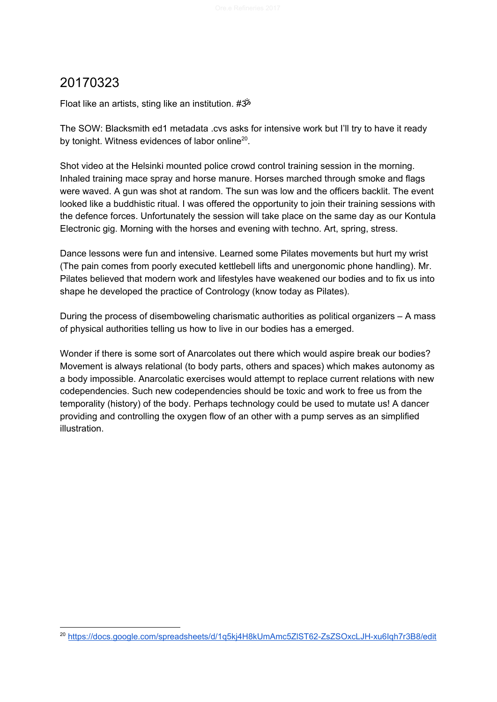<span id="page-3-0"></span>Float like an artists, sting like an institution. #ॐ

The SOW: Blacksmith ed1 metadata .cvs asks for intensive work but I'll try to have it ready by tonight. Witness evidences of labor online<sup>20</sup>.

Shot video at the Helsinki mounted police crowd control training session in the morning. Inhaled training mace spray and horse manure. Horses marched through smoke and flags were waved. A gun was shot at random. The sun was low and the officers backlit. The event looked like a buddhistic ritual. I was offered the opportunity to join their training sessions with the defence forces. Unfortunately the session will take place on the same day as our Kontula Electronic gig. Morning with the horses and evening with techno. Art, spring, stress.

Dance lessons were fun and intensive. Learned some Pilates movements but hurt my wrist (The pain comes from poorly executed kettlebell lifts and unergonomic phone handling). Mr. Pilates believed that modern work and lifestyles have weakened our bodies and to fix us into shape he developed the practice of Contrology (know today as Pilates).

During the process of disemboweling charismatic authorities as political organizers – A mass of physical authorities telling us how to live in our bodies has a emerged.

Wonder if there is some sort of Anarcolates out there which would aspire break our bodies? Movement is always relational (to body parts, others and spaces) which makes autonomy as a body impossible. Anarcolatic exercises would attempt to replace current relations with new codependencies. Such new codependencies should be toxic and work to free us from the temporality (history) of the body. Perhaps technology could be used to mutate us! A dancer providing and controlling the oxygen flow of an other with a pump serves as an simplified illustration.

<sup>20</sup> <https://docs.google.com/spreadsheets/d/1q5kj4H8kUmAmc5ZlST62-ZsZSOxcLJH-xu6Iqh7r3B8/edit>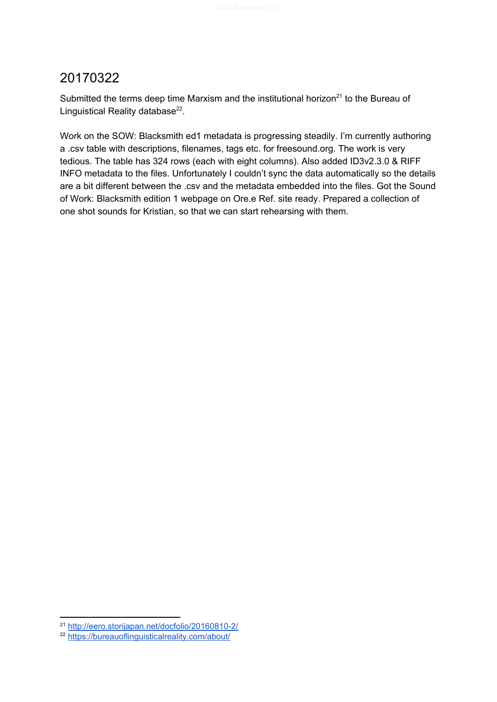<span id="page-4-0"></span>Submitted the terms deep time Marxism and the institutional horizon<sup>21</sup> to the Bureau of Linguistical Reality database $^{22}$ .

Work on the SOW: Blacksmith ed1 metadata is progressing steadily. I'm currently authoring a .csv table with descriptions, filenames, tags etc. for freesound.org. The work is very tedious. The table has 324 rows (each with eight columns). Also added ID3v2.3.0 & RIFF INFO metadata to the files. Unfortunately I couldn't sync the data automatically so the details are a bit different between the .csv and the metadata embedded into the files. Got the Sound of Work: Blacksmith edition 1 webpage on Ore.e Ref. site ready. Prepared a collection of one shot sounds for Kristian, so that we can start rehearsing with them.

<sup>21</sup> <http://eero.storijapan.net/docfolio/20160810-2/>

<sup>22</sup> <https://bureauoflinguisticalreality.com/about/>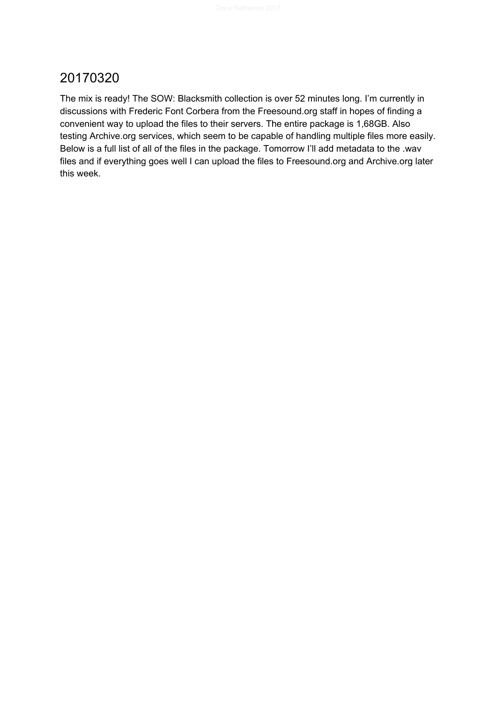<span id="page-5-0"></span>The mix is ready! The SOW: Blacksmith collection is over 52 minutes long. I'm currently in discussions with Frederic Font Corbera from the Freesound.org staff in hopes of finding a convenient way to upload the files to their servers. The entire package is 1,68GB. Also testing Archive.org services, which seem to be capable of handling multiple files more easily. Below is a full list of all of the files in the package. Tomorrow I'll add metadata to the .wav files and if everything goes well I can upload the files to Freesound.org and Archive.org later this week.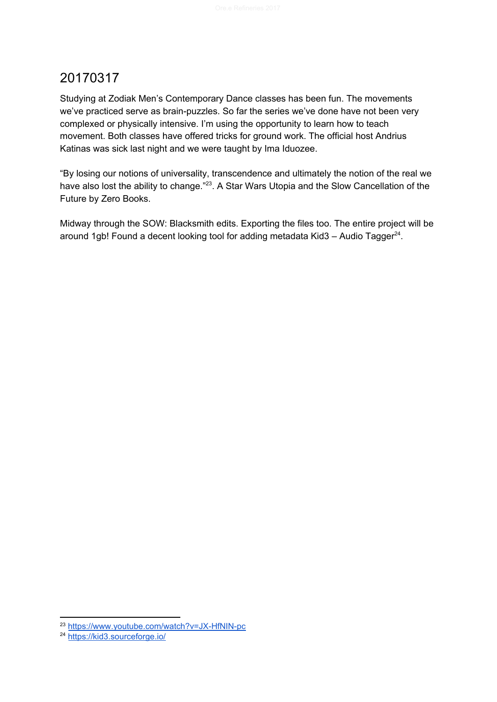<span id="page-6-0"></span>Studying at Zodiak Men's Contemporary Dance classes has been fun. The movements we've practiced serve as brain-puzzles. So far the series we've done have not been very complexed or physically intensive. I'm using the opportunity to learn how to teach movement. Both classes have offered tricks for ground work. The official host Andrius Katinas was sick last night and we were taught by Ima Iduozee.

"By losing our notions of universality, transcendence and ultimately the notion of the real we have also lost the ability to change." $^{23}$ . A Star Wars Utopia and the Slow Cancellation of the Future by Zero Books.

Midway through the SOW: Blacksmith edits. Exporting the files too. The entire project will be around 1gb! Found a decent looking tool for adding metadata Kid3 – Audio Tagger $^{24}$ .

<sup>&</sup>lt;sup>23</sup> <https://www.youtube.com/watch?v=JX-HfNIN-pc>

<sup>&</sup>lt;sup>24</sup> <https://kid3.sourceforge.io/>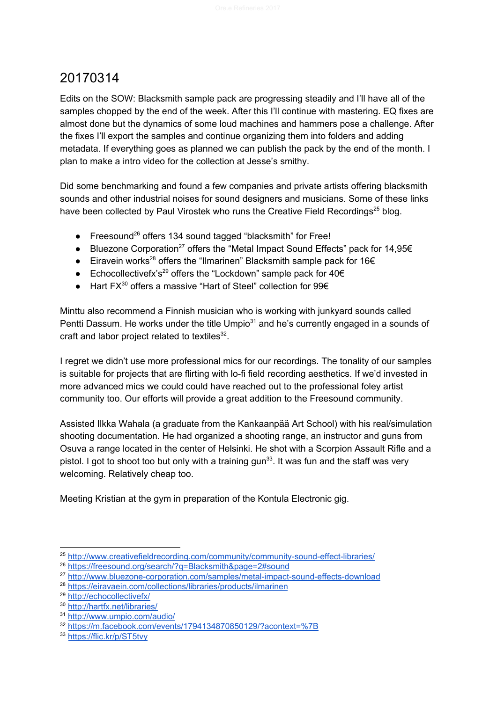<span id="page-7-0"></span>Edits on the SOW: Blacksmith sample pack are progressing steadily and I'll have all of the samples chopped by the end of the week. After this I'll continue with mastering. EQ fixes are almost done but the dynamics of some loud machines and hammers pose a challenge. After the fixes I'll export the samples and continue organizing them into folders and adding metadata. If everything goes as planned we can publish the pack by the end of the month. I plan to make a intro video for the collection at Jesse's smithy.

Did some benchmarking and found a few companies and private artists offering blacksmith sounds and other industrial noises for sound designers and musicians. Some of these links have been collected by Paul Virostek who runs the Creative Field Recordings<sup>25</sup> blog.

- Freesound<sup>26</sup> offers 134 sound tagged "blacksmith" for Free!
- Bluezone Corporation<sup>27</sup> offers the "Metal Impact Sound Effects" pack for 14,95 $\in$
- $\bullet$  Eiravein works<sup>28</sup> offers the "Ilmarinen" Blacksmith sample pack for 16€
- $\bullet$  Echocollectivefx's<sup>29</sup> offers the "Lockdown" sample pack for 40€
- $\bullet$  Hart FX<sup>30</sup> offers a massive "Hart of Steel" collection for 99€

Minttu also recommend a Finnish musician who is working with junkyard sounds called Pentti Dassum. He works under the title Umpio $31$  and he's currently engaged in a sounds of craft and labor project related to textiles $^{32}$ .

I regret we didn't use more professional mics for our recordings. The tonality of our samples is suitable for projects that are flirting with lo-fi field recording aesthetics. If we'd invested in more advanced mics we could could have reached out to the professional foley artist community too. Our efforts will provide a great addition to the Freesound community.

Assisted Ilkka Wahala (a graduate from the Kankaanpää Art School) with his real/simulation shooting documentation. He had organized a shooting range, an instructor and guns from Osuva a range located in the center of Helsinki. He shot with a Scorpion Assault Rifle and a pistol. I got to shoot too but only with a training gun<sup>33</sup>. It was fun and the staff was very welcoming. Relatively cheap too.

Meeting Kristian at the gym in preparation of the Kontula Electronic gig.

<sup>&</sup>lt;sup>25</sup> <http://www.creativefieldrecording.com/community/community-sound-effect-libraries/>

<sup>26</sup> <https://freesound.org/search/?q=Blacksmith&page=2#sound>

<sup>&</sup>lt;sup>27</sup> <http://www.bluezone-corporation.com/samples/metal-impact-sound-effects-download>

<sup>28</sup> <https://eiravaein.com/collections/libraries/products/ilmarinen>

<sup>29</sup> <http://echocollectivefx/>

<sup>30</sup> <http://hartfx.net/libraries/>

<sup>31</sup> <http://www.umpio.com/audio/>

<sup>32</sup> <https://m.facebook.com/events/1794134870850129/?acontext=%7B>

<sup>33</sup> <https://flic.kr/p/ST5tvy>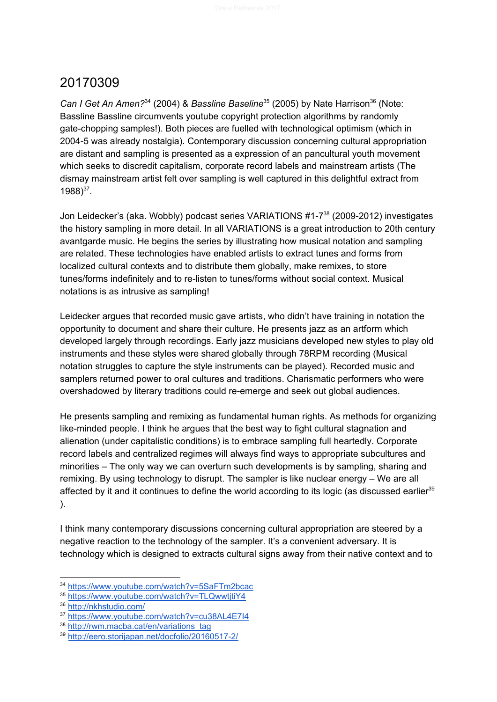<span id="page-8-0"></span>Can *I Get An Amen?*<sup>34</sup> (2004) & *Bassline Baseline*<sup>35</sup> (2005) by Nate Harrison<sup>36</sup> (Note: Bassline Bassline circumvents youtube copyright protection algorithms by randomly gate-chopping samples!). Both pieces are fuelled with technological optimism (which in 2004-5 was already nostalgia). Contemporary discussion concerning cultural appropriation are distant and sampling is presented as a expression of an pancultural youth movement which seeks to discredit capitalism, corporate record labels and mainstream artists (The dismay mainstream artist felt over sampling is well captured in this delightful extract from  $1988)^{37}$ .

Jon Leidecker's (aka. Wobbly) podcast series VARIATIONS #1-7<sup>38</sup> (2009-2012) investigates the history sampling in more detail. In all VARIATIONS is a great introduction to 20th century avantgarde music. He begins the series by illustrating how musical notation and sampling are related. These technologies have enabled artists to extract tunes and forms from localized cultural contexts and to distribute them globally, make remixes, to store tunes/forms indefinitely and to re-listen to tunes/forms without social context. Musical notations is as intrusive as sampling!

Leidecker argues that recorded music gave artists, who didn't have training in notation the opportunity to document and share their culture. He presents jazz as an artform which developed largely through recordings. Early jazz musicians developed new styles to play old instruments and these styles were shared globally through 78RPM recording (Musical notation struggles to capture the style instruments can be played). Recorded music and samplers returned power to oral cultures and traditions. Charismatic performers who were overshadowed by literary traditions could re-emerge and seek out global audiences.

He presents sampling and remixing as fundamental human rights. As methods for organizing like-minded people. I think he argues that the best way to fight cultural stagnation and alienation (under capitalistic conditions) is to embrace sampling full heartedly. Corporate record labels and centralized regimes will always find ways to appropriate subcultures and minorities – The only way we can overturn such developments is by sampling, sharing and remixing. By using technology to disrupt. The sampler is like nuclear energy – We are all affected by it and it continues to define the world according to its logic (as discussed earlier<sup>39</sup> ).

I think many contemporary discussions concerning cultural appropriation are steered by a negative reaction to the technology of the sampler. It's a convenient adversary. It is technology which is designed to extracts cultural signs away from their native context and to

<sup>34</sup> <https://www.youtube.com/watch?v=5SaFTm2bcac>

<sup>35</sup> https://www.youtube.com/watch?v=TLQwwtitiY4

<sup>36</sup> <http://nkhstudio.com/>

<sup>37</sup> <https://www.youtube.com/watch?v=cu38AL4E7I4>

<sup>38</sup> [http://rwm.macba.cat/en/variations\\_tag](http://rwm.macba.cat/en/variations_tag)

<sup>39</sup> <http://eero.storijapan.net/docfolio/20160517-2/>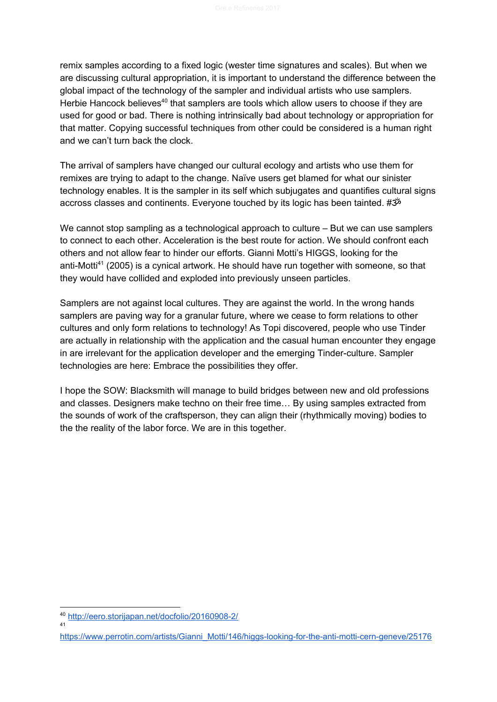remix samples according to a fixed logic (wester time signatures and scales). But when we are discussing cultural appropriation, it is important to understand the difference between the global impact of the technology of the sampler and individual artists who use samplers. Herbie Hancock believes $40$  that samplers are tools which allow users to choose if they are used for good or bad. There is nothing intrinsically bad about technology or appropriation for that matter. Copying successful techniques from other could be considered is a human right and we can't turn back the clock.

The arrival of samplers have changed our cultural ecology and artists who use them for remixes are trying to adapt to the change. Naïve users get blamed for what our sinister technology enables. It is the sampler in its self which subjugates and quantifies cultural signs accross classes and continents. Everyone touched by its logic has been tainted. #ॐ

We cannot stop sampling as a technological approach to culture – But we can use samplers to connect to each other. Acceleration is the best route for action. We should confront each others and not allow fear to hinder our efforts. Gianni Motti's HIGGS, looking for the anti-Motti<sup>41</sup> (2005) is a cynical artwork. He should have run together with someone, so that they would have collided and exploded into previously unseen particles.

Samplers are not against local cultures. They are against the world. In the wrong hands samplers are paving way for a granular future, where we cease to form relations to other cultures and only form relations to technology! As Topi discovered, people who use Tinder are actually in relationship with the application and the casual human encounter they engage in are irrelevant for the application developer and the emerging Tinder-culture. Sampler technologies are here: Embrace the possibilities they offer.

I hope the SOW: Blacksmith will manage to build bridges between new and old professions and classes. Designers make techno on their free time… By using samples extracted from the sounds of work of the craftsperson, they can align their (rhythmically moving) bodies to the the reality of the labor force. We are in this together.

<sup>40</sup> <http://eero.storijapan.net/docfolio/20160908-2/> 41

[https://www.perrotin.com/artists/Gianni\\_Motti/146/higgs-looking-for-the-anti-motti-cern-geneve/25176](https://www.perrotin.com/artists/Gianni_Motti/146/higgs-looking-for-the-anti-motti-cern-geneve/25176)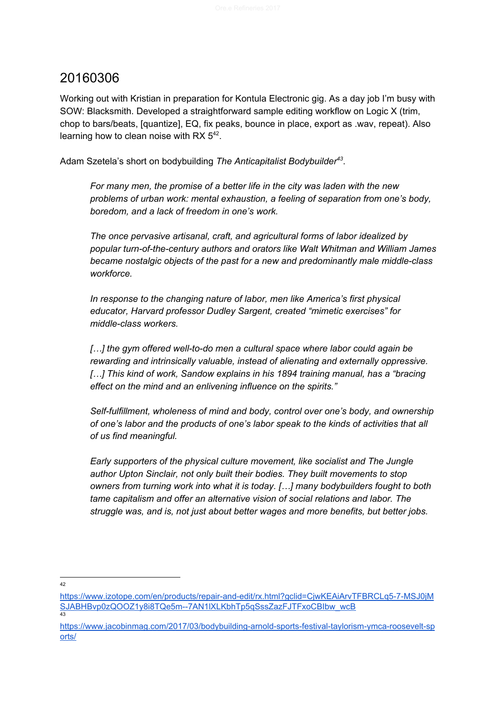<span id="page-10-0"></span>Working out with Kristian in preparation for Kontula Electronic gig. As a day job I'm busy with SOW: Blacksmith. Developed a straightforward sample editing workflow on Logic X (trim, chop to bars/beats, [quantize], EQ, fix peaks, bounce in place, export as .wav, repeat). Also learning how to clean noise with RX  $5^{42}$ .

Adam Szetela's short on bodybuilding The Anticapitalist Bodybuilder<sup>43</sup>.

*For many men, the promise of a better life in the city was laden with the new problems of urban work: mental exhaustion, a feeling of separation from one's body, boredom, and a lack of freedom in one's work.*

*The once pervasive artisanal, craft, and agricultural forms of labor idealized by popular turn-of-the-century authors and orators like Walt Whitman and William James became nostalgic objects of the past for a new and predominantly male middle-class workforce.*

*In response to the changing nature of labor, men like America's first physical educator, Harvard professor Dudley Sargent, created "mimetic exercises" for middle-class workers.*

*[…] the gym offered well-to-do men a cultural space where labor could again be rewarding and intrinsically valuable, instead of alienating and externally oppressive. […] This kind of work, Sandow explains in his 1894 training manual, has a "bracing effect on the mind and an enlivening influence on the spirits."*

*Self-fulfillment, wholeness of mind and body, control over one's body, and ownership of one's labor and the products of one's labor speak to the kinds of activities that all of us find meaningful.*

*Early supporters of the physical culture movement, like socialist and The Jungle author Upton Sinclair, not only built their bodies. They built movements to stop owners from turning work into what it is today. […] many bodybuilders fought to both tame capitalism and offer an alternative vision of social relations and labor. The struggle was, and is, not just about better wages and more benefits, but better jobs.*

42

[https://www.izotope.com/en/products/repair-and-edit/rx.html?gclid=CjwKEAiArvTFBRCLq5-7-MSJ0jM](https://www.izotope.com/en/products/repair-and-edit/rx.html?gclid=CjwKEAiArvTFBRCLq5-7-MSJ0jMSJABHBvp0zQOOZ1y8i8TQe5m--7AN1lXLKbhTp5qSssZazFJTFxoCBIbw_wcB) SJABHBvp0zQOOZ1y8i8TQe5m--7AN1IXLKbhTp5qSssZazFJTFxoCBIbw\_wcB 43

[https://www.jacobinmag.com/2017/03/bodybuilding-arnold-sports-festival-taylorism-ymca-roosevelt-sp](https://www.jacobinmag.com/2017/03/bodybuilding-arnold-sports-festival-taylorism-ymca-roosevelt-sports/) [orts/](https://www.jacobinmag.com/2017/03/bodybuilding-arnold-sports-festival-taylorism-ymca-roosevelt-sports/)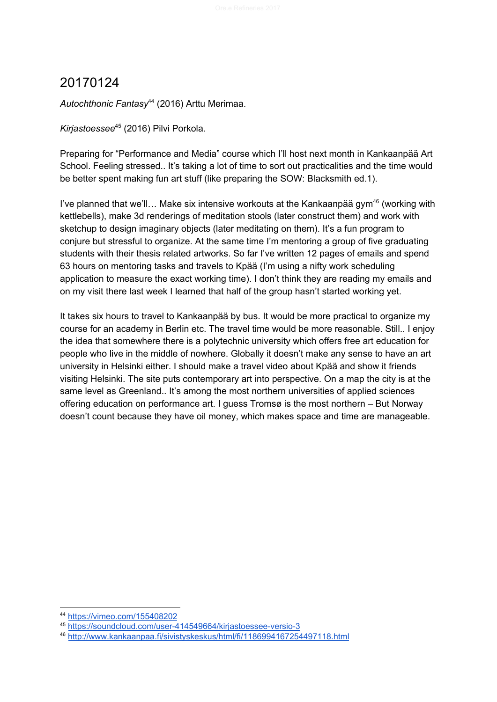<span id="page-11-0"></span>Autochthonic Fantasy<sup>44</sup> (2016) Arttu Merimaa.

Kirjastoessee<sup>45</sup> (2016) Pilvi Porkola.

Preparing for "Performance and Media" course which I'll host next month in Kankaanpää Art School. Feeling stressed.. It's taking a lot of time to sort out practicalities and the time would be better spent making fun art stuff (like preparing the SOW: Blacksmith ed.1).

I've planned that we'll... Make six intensive workouts at the Kankaanpää gym<sup>46</sup> (working with kettlebells), make 3d renderings of meditation stools (later construct them) and work with sketchup to design imaginary objects (later meditating on them). It's a fun program to conjure but stressful to organize. At the same time I'm mentoring a group of five graduating students with their thesis related artworks. So far I've written 12 pages of emails and spend 63 hours on mentoring tasks and travels to Kpää (I'm using a nifty work scheduling application to measure the exact working time). I don't think they are reading my emails and on my visit there last week I learned that half of the group hasn't started working yet.

It takes six hours to travel to Kankaanpää by bus. It would be more practical to organize my course for an academy in Berlin etc. The travel time would be more reasonable. Still.. I enjoy the idea that somewhere there is a polytechnic university which offers free art education for people who live in the middle of nowhere. Globally it doesn't make any sense to have an art university in Helsinki either. I should make a travel video about Kpää and show it friends visiting Helsinki. The site puts contemporary art into perspective. On a map the city is at the same level as Greenland.. It's among the most northern universities of applied sciences offering education on performance art. I guess Tromsø is the most northern – But Norway doesn't count because they have oil money, which makes space and time are manageable.

<sup>44</sup> <https://vimeo.com/155408202>

<sup>45</sup> <https://soundcloud.com/user-414549664/kirjastoessee-versio-3>

<sup>46</sup> <http://www.kankaanpaa.fi/sivistyskeskus/html/fi/1186994167254497118.html>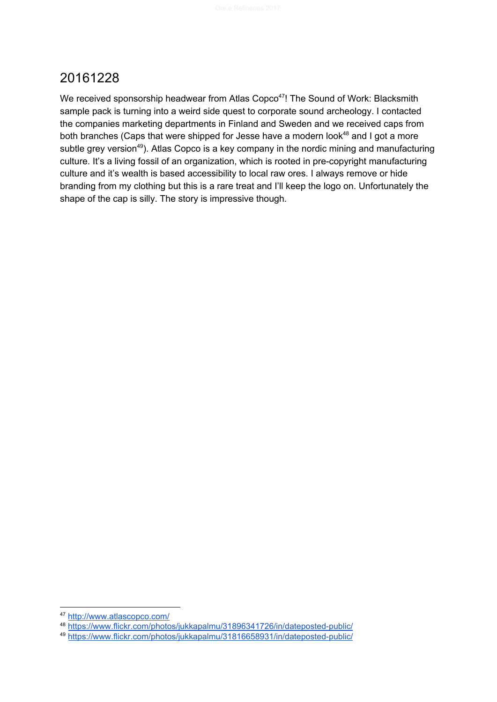<span id="page-12-0"></span>We received sponsorship headwear from Atlas Copco<sup>47</sup>! The Sound of Work: Blacksmith sample pack is turning into a weird side quest to corporate sound archeology. I contacted the companies marketing departments in Finland and Sweden and we received caps from both branches (Caps that were shipped for Jesse have a modern look $48$  and I got a more subtle grey version<sup>49</sup>). Atlas Copco is a key company in the nordic mining and manufacturing culture. It's a living fossil of an organization, which is rooted in pre-copyright manufacturing culture and it's wealth is based accessibility to local raw ores. I always remove or hide branding from my clothing but this is a rare treat and I'll keep the logo on. Unfortunately the shape of the cap is silly. The story is impressive though.

<sup>47</sup> <http://www.atlascopco.com/>

<sup>48</sup> <https://www.flickr.com/photos/jukkapalmu/31896341726/in/dateposted-public/>

<sup>49</sup> <https://www.flickr.com/photos/jukkapalmu/31816658931/in/dateposted-public/>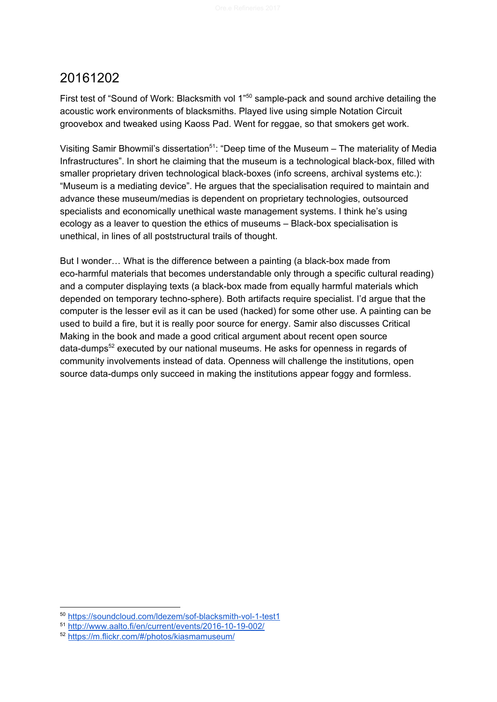<span id="page-13-0"></span>First test of "Sound of Work: Blacksmith vol 1"<sup>50</sup> sample-pack and sound archive detailing the acoustic work environments of blacksmiths. Played live using simple Notation Circuit groovebox and tweaked using Kaoss Pad. Went for reggae, so that smokers get work.

Visiting Samir Bhowmil's dissertation<sup>51</sup>: "Deep time of the Museum – The materiality of Media Infrastructures". In short he claiming that the museum is a technological black-box, filled with smaller proprietary driven technological black-boxes (info screens, archival systems etc.): "Museum is a mediating device". He argues that the specialisation required to maintain and advance these museum/medias is dependent on proprietary technologies, outsourced specialists and economically unethical waste management systems. I think he's using ecology as a leaver to question the ethics of museums – Black-box specialisation is unethical, in lines of all poststructural trails of thought.

But I wonder… What is the difference between a painting (a black-box made from eco-harmful materials that becomes understandable only through a specific cultural reading) and a computer displaying texts (a black-box made from equally harmful materials which depended on temporary techno-sphere). Both artifacts require specialist. I'd argue that the computer is the lesser evil as it can be used (hacked) for some other use. A painting can be used to build a fire, but it is really poor source for energy. Samir also discusses Critical Making in the book and made a good critical argument about recent open source data-dumps<sup>52</sup> executed by our national museums. He asks for openness in regards of community involvements instead of data. Openness will challenge the institutions, open source data-dumps only succeed in making the institutions appear foggy and formless.

<sup>50</sup> <https://soundcloud.com/ldezem/sof-blacksmith-vol-1-test1>

<sup>51</sup> <http://www.aalto.fi/en/current/events/2016-10-19-002/>

<sup>52</sup> <https://m.flickr.com/#/photos/kiasmamuseum/>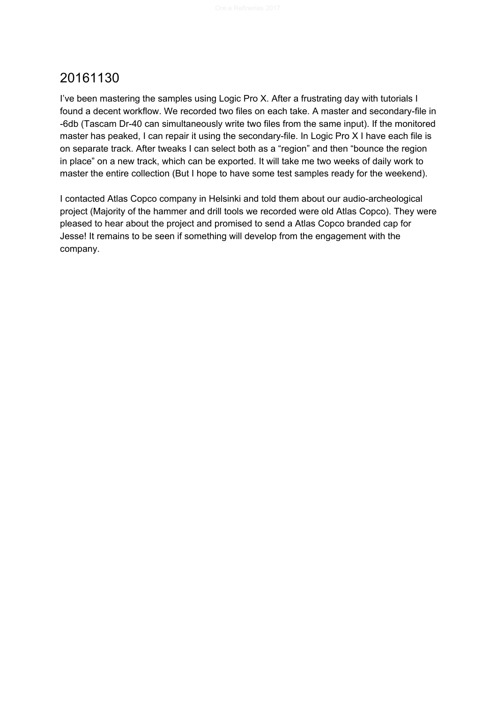<span id="page-14-0"></span>I've been mastering the samples using Logic Pro X. After a frustrating day with tutorials I found a decent workflow. We recorded two files on each take. A master and secondary-file in -6db (Tascam Dr-40 can simultaneously write two files from the same input). If the monitored master has peaked, I can repair it using the secondary-file. In Logic Pro X I have each file is on separate track. After tweaks I can select both as a "region" and then "bounce the region in place" on a new track, which can be exported. It will take me two weeks of daily work to master the entire collection (But I hope to have some test samples ready for the weekend).

I contacted Atlas Copco company in Helsinki and told them about our audio-archeological project (Majority of the hammer and drill tools we recorded were old Atlas Copco). They were pleased to hear about the project and promised to send a Atlas Copco branded cap for Jesse! It remains to be seen if something will develop from the engagement with the company.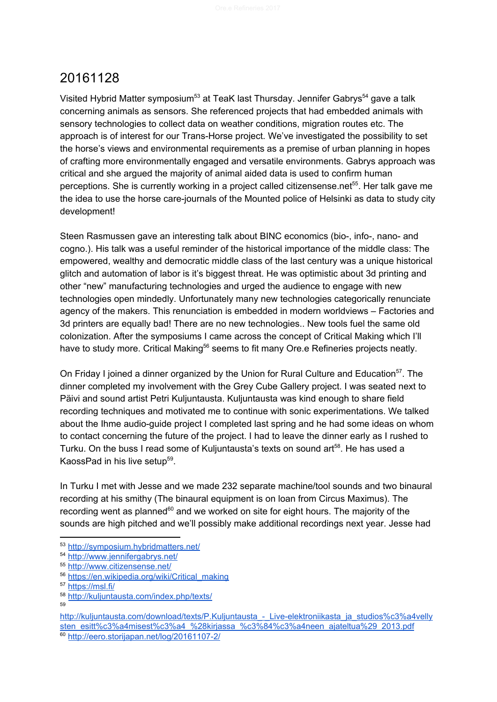<span id="page-15-0"></span>Visited Hybrid Matter symposium<sup>53</sup> at TeaK last Thursday. Jennifer Gabrys<sup>54</sup> gave a talk concerning animals as sensors. She referenced projects that had embedded animals with sensory technologies to collect data on weather conditions, migration routes etc. The approach is of interest for our Trans-Horse project. We've investigated the possibility to set the horse's views and environmental requirements as a premise of urban planning in hopes of crafting more environmentally engaged and versatile environments. Gabrys approach was critical and she argued the majority of animal aided data is used to confirm human perceptions. She is currently working in a project called citizensense.net<sup>55</sup>. Her talk gave me the idea to use the horse care-journals of the Mounted police of Helsinki as data to study city development!

Steen Rasmussen gave an interesting talk about BINC economics (bio-, info-, nano- and cogno.). His talk was a useful reminder of the historical importance of the middle class: The empowered, wealthy and democratic middle class of the last century was a unique historical glitch and automation of labor is it's biggest threat. He was optimistic about 3d printing and other "new" manufacturing technologies and urged the audience to engage with new technologies open mindedly. Unfortunately many new technologies categorically renunciate agency of the makers. This renunciation is embedded in modern worldviews – Factories and 3d printers are equally bad! There are no new technologies.. New tools fuel the same old colonization. After the symposiums I came across the concept of Critical Making which I'll have to study more. Critical Making<sup>56</sup> seems to fit many Ore.e Refineries projects neatly.

On Friday I joined a dinner organized by the Union for Rural Culture and Education<sup>57</sup>. The dinner completed my involvement with the Grey Cube Gallery project. I was seated next to Päivi and sound artist Petri Kuljuntausta. Kuljuntausta was kind enough to share field recording techniques and motivated me to continue with sonic experimentations. We talked about the Ihme audio-guide project I completed last spring and he had some ideas on whom to contact concerning the future of the project. I had to leave the dinner early as I rushed to Turku. On the buss I read some of Kuljuntausta's texts on sound art<sup>58</sup>. He has used a KaossPad in his live setup $59$ .

In Turku I met with Jesse and we made 232 separate machine/tool sounds and two binaural recording at his smithy (The binaural equipment is on loan from Circus Maximus). The recording went as planned $^{60}$  and we worked on site for eight hours. The majority of the sounds are high pitched and we'll possibly make additional recordings next year. Jesse had

<sup>53</sup> <http://symposium.hybridmatters.net/>

<sup>54</sup> <http://www.jennifergabrys.net/>

<sup>55</sup> <http://www.citizensense.net/>

<sup>56</sup> [https://en.wikipedia.org/wiki/Critical\\_making](https://en.wikipedia.org/wiki/Critical_making)

<sup>57</sup> <https://msl.fi/>

<sup>58</sup> <http://kuljuntausta.com/index.php/texts/>

<sup>59</sup>

http://kuljuntausta.com/download/texts/P.Kuljuntausta - Live-elektroniikasta ja studios%c3%a4velly [sten\\_esitt%c3%a4misest%c3%a4\\_%28kirjassa\\_%c3%84%c3%a4neen\\_ajateltua%29\\_2013.pdf](http://kuljuntausta.com/download/texts/P.Kuljuntausta_-_Live-elektroniikasta_ja_studios%c3%a4vellysten_esitt%c3%a4misest%c3%a4_%28kirjassa_%c3%84%c3%a4neen_ajateltua%29_2013.pdf) <sup>60</sup> <http://eero.storijapan.net/log/20161107-2/>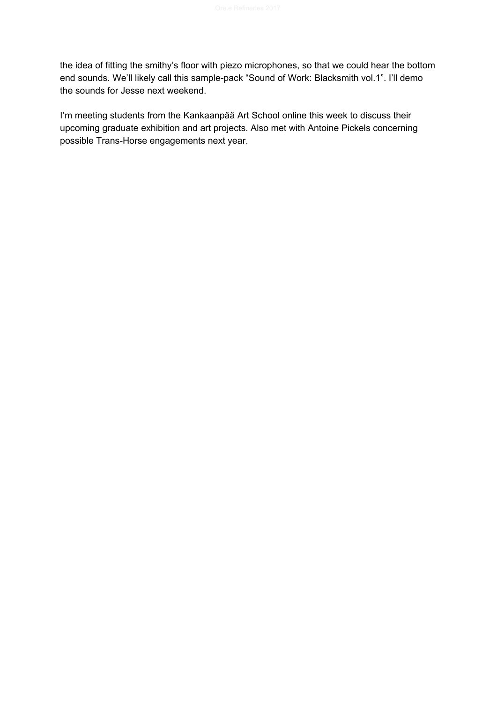the idea of fitting the smithy's floor with piezo microphones, so that we could hear the bottom end sounds. We'll likely call this sample-pack "Sound of Work: Blacksmith vol.1". I'll demo the sounds for Jesse next weekend.

I'm meeting students from the Kankaanpää Art School online this week to discuss their upcoming graduate exhibition and art projects. Also met with Antoine Pickels concerning possible Trans-Horse engagements next year.